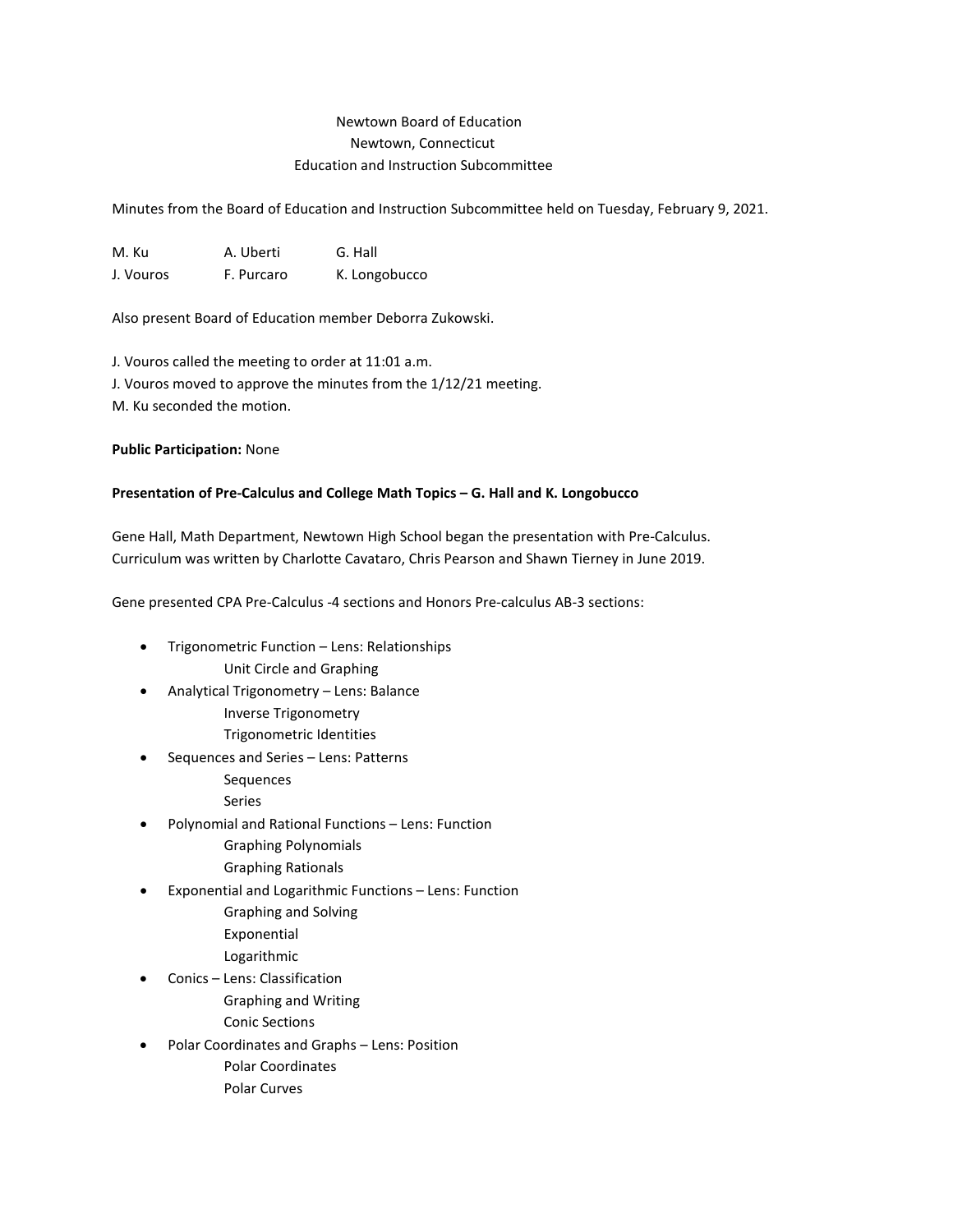# Newtown Board of Education Newtown, Connecticut Education and Instruction Subcommittee

Minutes from the Board of Education and Instruction Subcommittee held on Tuesday, February 9, 2021.

M. Ku A. Uberti G. Hall J. Vouros F. Purcaro K. Longobucco

Also present Board of Education member Deborra Zukowski.

J. Vouros called the meeting to order at 11:01 a.m. J. Vouros moved to approve the minutes from the 1/12/21 meeting. M. Ku seconded the motion.

**Public Participation:** None

# **Presentation of Pre-Calculus and College Math Topics – G. Hall and K. Longobucco**

Gene Hall, Math Department, Newtown High School began the presentation with Pre-Calculus. Curriculum was written by Charlotte Cavataro, Chris Pearson and Shawn Tierney in June 2019.

Gene presented CPA Pre-Calculus -4 sections and Honors Pre-calculus AB-3 sections:

- Trigonometric Function Lens: Relationships Unit Circle and Graphing
- Analytical Trigonometry Lens: Balance Inverse Trigonometry
	- Trigonometric Identities
- Sequences and Series Lens: Patterns Sequences
	- Series
- Polynomial and Rational Functions Lens: Function
	- Graphing Polynomials
	- Graphing Rationals
- Exponential and Logarithmic Functions Lens: Function Graphing and Solving
	- Exponential
	- Logarithmic
- Conics Lens: Classification
	- Graphing and Writing
	- Conic Sections
- Polar Coordinates and Graphs Lens: Position Polar Coordinates
	- Polar Curves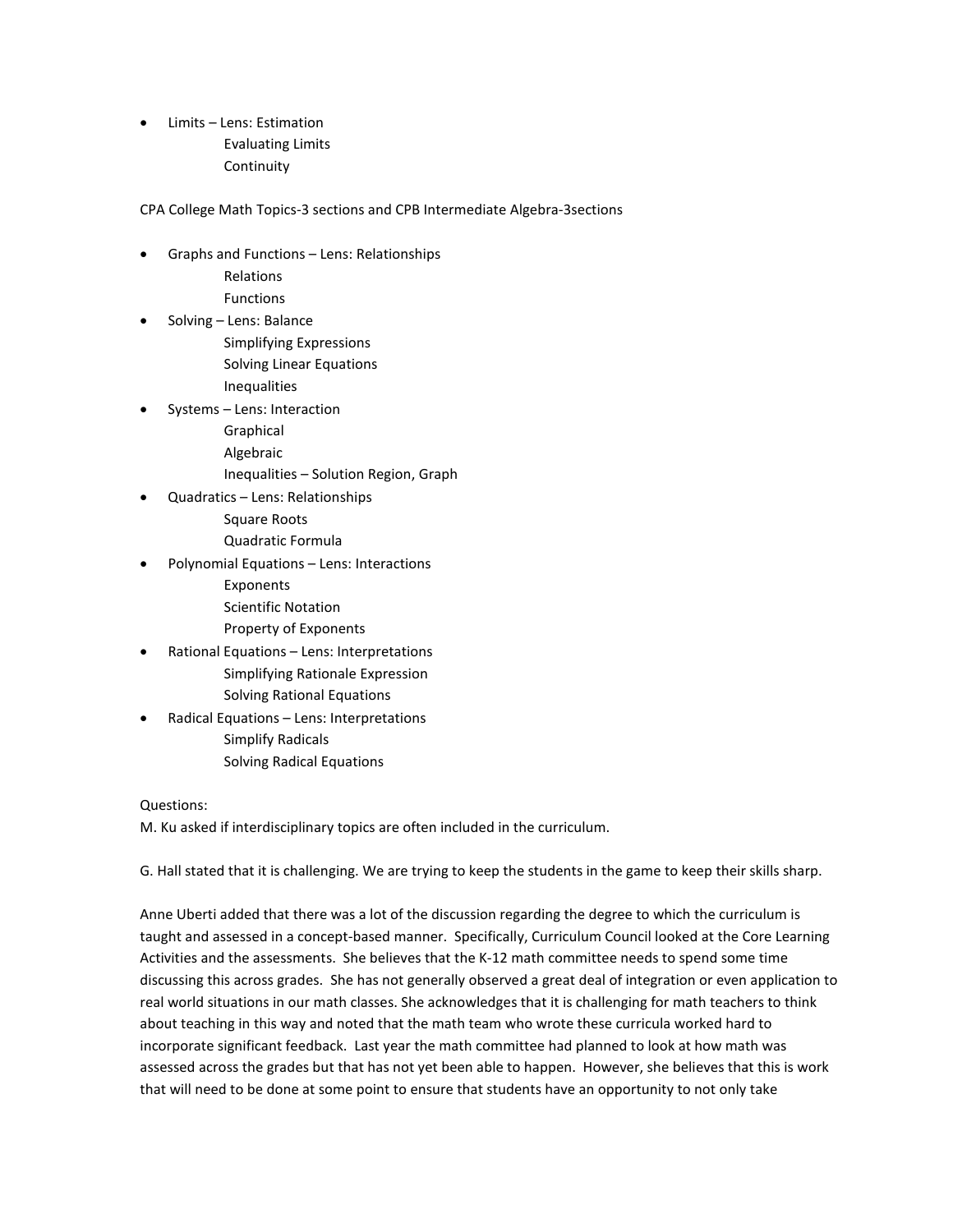• Limits – Lens: Estimation Evaluating Limits Continuity

CPA College Math Topics-3 sections and CPB Intermediate Algebra-3sections

- Graphs and Functions Lens: Relationships
	- Relations
	- Functions
- Solving Lens: Balance
	- Simplifying Expressions Solving Linear Equations Inequalities
- Systems Lens: Interaction
	- Graphical
	- Algebraic
	- Inequalities Solution Region, Graph
- Quadratics Lens: Relationships Square Roots Quadratic Formula
- Polynomial Equations Lens: Interactions
	- Exponents
	- Scientific Notation
	- Property of Exponents
- Rational Equations Lens: Interpretations Simplifying Rationale Expression Solving Rational Equations
- Radical Equations Lens: Interpretations Simplify Radicals Solving Radical Equations

# Questions:

M. Ku asked if interdisciplinary topics are often included in the curriculum.

G. Hall stated that it is challenging. We are trying to keep the students in the game to keep their skills sharp.

Anne Uberti added that there was a lot of the discussion regarding the degree to which the curriculum is taught and assessed in a concept-based manner. Specifically, Curriculum Council looked at the Core Learning Activities and the assessments. She believes that the K-12 math committee needs to spend some time discussing this across grades. She has not generally observed a great deal of integration or even application to real world situations in our math classes. She acknowledges that it is challenging for math teachers to think about teaching in this way and noted that the math team who wrote these curricula worked hard to incorporate significant feedback. Last year the math committee had planned to look at how math was assessed across the grades but that has not yet been able to happen. However, she believes that this is work that will need to be done at some point to ensure that students have an opportunity to not only take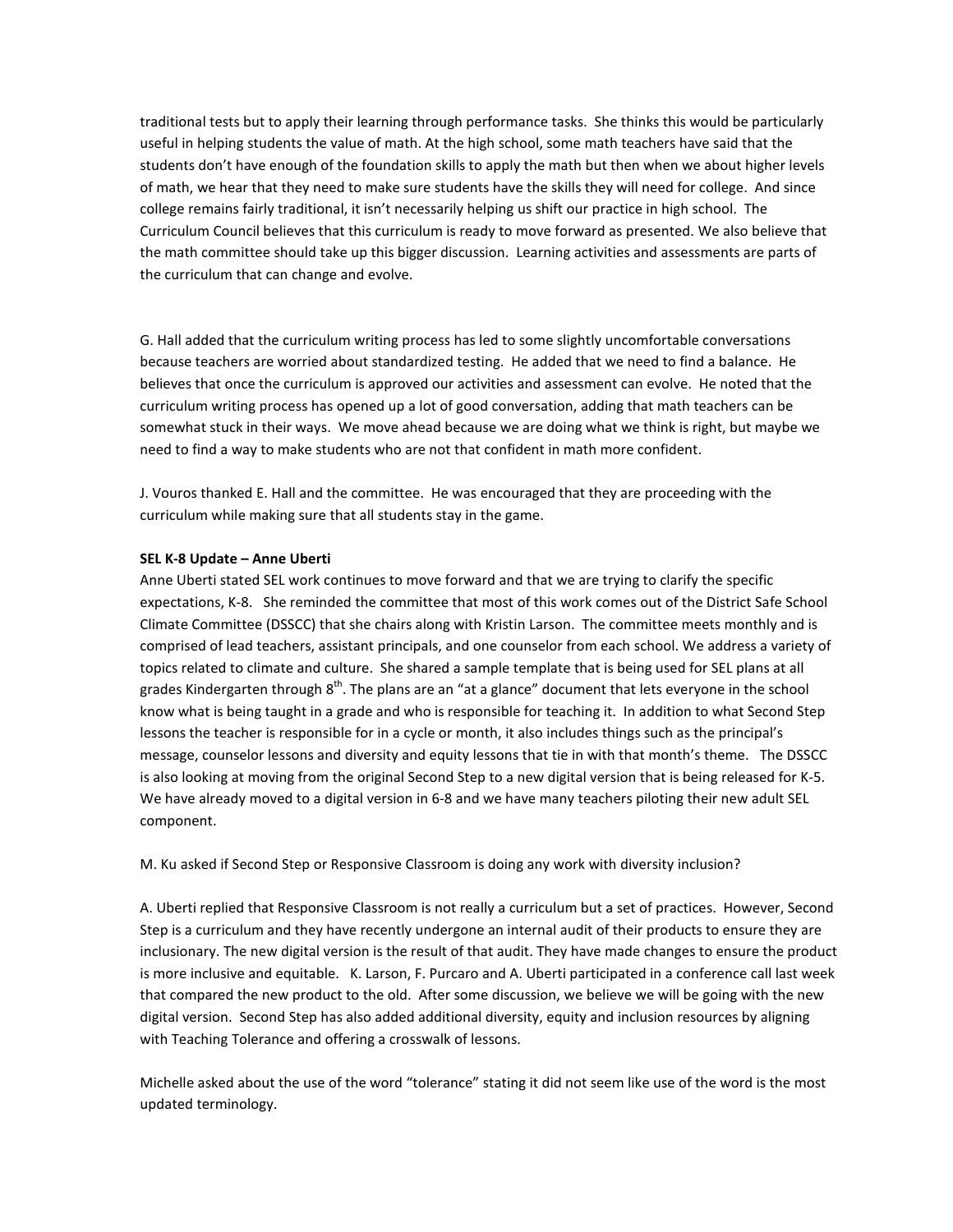traditional tests but to apply their learning through performance tasks. She thinks this would be particularly useful in helping students the value of math. At the high school, some math teachers have said that the students don't have enough of the foundation skills to apply the math but then when we about higher levels of math, we hear that they need to make sure students have the skills they will need for college. And since college remains fairly traditional, it isn't necessarily helping us shift our practice in high school. The Curriculum Council believes that this curriculum is ready to move forward as presented. We also believe that the math committee should take up this bigger discussion. Learning activities and assessments are parts of the curriculum that can change and evolve.

G. Hall added that the curriculum writing process has led to some slightly uncomfortable conversations because teachers are worried about standardized testing. He added that we need to find a balance. He believes that once the curriculum is approved our activities and assessment can evolve. He noted that the curriculum writing process has opened up a lot of good conversation, adding that math teachers can be somewhat stuck in their ways. We move ahead because we are doing what we think is right, but maybe we need to find a way to make students who are not that confident in math more confident.

J. Vouros thanked E. Hall and the committee. He was encouraged that they are proceeding with the curriculum while making sure that all students stay in the game.

#### **SEL K-8 Update – Anne Uberti**

Anne Uberti stated SEL work continues to move forward and that we are trying to clarify the specific expectations, K-8. She reminded the committee that most of this work comes out of the District Safe School Climate Committee (DSSCC) that she chairs along with Kristin Larson. The committee meets monthly and is comprised of lead teachers, assistant principals, and one counselor from each school. We address a variety of topics related to climate and culture. She shared a sample template that is being used for SEL plans at all grades Kindergarten through 8<sup>th</sup>. The plans are an "at a glance" document that lets everyone in the school know what is being taught in a grade and who is responsible for teaching it. In addition to what Second Step lessons the teacher is responsible for in a cycle or month, it also includes things such as the principal's message, counselor lessons and diversity and equity lessons that tie in with that month's theme. The DSSCC is also looking at moving from the original Second Step to a new digital version that is being released for K-5. We have already moved to a digital version in 6-8 and we have many teachers piloting their new adult SEL component.

M. Ku asked if Second Step or Responsive Classroom is doing any work with diversity inclusion?

A. Uberti replied that Responsive Classroom is not really a curriculum but a set of practices. However, Second Step is a curriculum and they have recently undergone an internal audit of their products to ensure they are inclusionary. The new digital version is the result of that audit. They have made changes to ensure the product is more inclusive and equitable. K. Larson, F. Purcaro and A. Uberti participated in a conference call last week that compared the new product to the old. After some discussion, we believe we will be going with the new digital version. Second Step has also added additional diversity, equity and inclusion resources by aligning with Teaching Tolerance and offering a crosswalk of lessons.

Michelle asked about the use of the word "tolerance" stating it did not seem like use of the word is the most updated terminology.